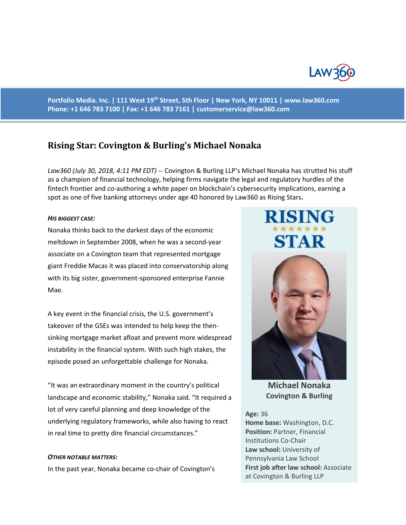

**Portfolio Media. Inc. | 111 West 19th Street, 5th Floor | New York, NY 10011 | www.law360.com Phone: +1 646 783 7100 | Fax: +1 646 783 7161 | [customerservice@law360.com](mailto:customerservice@law360.com)**

# **Rising Star: Covington & Burling's Michael Nonaka**

*Law360 (July 30, 2018, 4:11 PM EDT) --* Covington & Burling LLP's Michael Nonaka has strutted his stuff as a champion of financial technology, helping firms navigate the legal and regulatory hurdles of the fintech frontier and co-authoring a white paper on blockchain's cybersecurity implications, earning a spot as one of five banking attorneys under age 40 honored by Law360 as Rising Stars**.**

#### *HIS BIGGEST CASE:*

Nonaka thinks back to the darkest days of the economic meltdown in September 2008, when he was a second-year associate on a Covington team that represented mortgage giant Freddie Macas it was placed into conservatorship along with its big sister, government-sponsored enterprise Fannie Mae.

A key event in the financial crisis, the U.S. government's takeover of the GSEs was intended to help keep the thensinking mortgage market afloat and prevent more widespread instability in the financial system. With such high stakes, the episode posed an unforgettable challenge for Nonaka.

"It was an extraordinary moment in the country's political landscape and economic stability," Nonaka said. "It required a lot of very careful planning and deep knowledge of the underlying regulatory frameworks, while also having to react in real time to pretty dire financial circumstances."

#### *OTHER NOTABLE MATTERS:*

In the past year, Nonaka became co-chair of Covington's

# **RISING** STAR



**Michael Nonaka Covington & Burling**

#### **Age:** 36

**Home base:** Washington, D.C. **Position:** Partner, Financial Institutions Co-Chair **Law school:** University of Pennsylvania Law School **First job after law school:** Associate at Covington & Burling LLP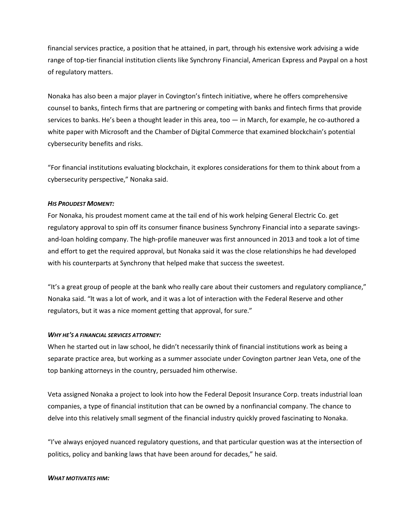financial services practice, a position that he attained, in part, through his extensive work advising a wide range of top-tier financial institution clients like Synchrony Financial, American Express and Paypal on a host of regulatory matters.

Nonaka has also been a major player in Covington's fintech initiative, where he offers comprehensive counsel to banks, fintech firms that are partnering or competing with banks and fintech firms that provide services to banks. He's been a thought leader in this area, too — in March, for example, he co-authored a white paper with Microsoft and the Chamber of Digital Commerce that examined blockchain's potential cybersecurity benefits and risks.

"For financial institutions evaluating blockchain, it explores considerations for them to think about from a cybersecurity perspective," Nonaka said.

# *HIS PROUDEST MOMENT:*

For Nonaka, his proudest moment came at the tail end of his work helping General Electric Co. get regulatory approval to spin off its consumer finance business Synchrony Financial into a separate savingsand-loan holding company. The high-profile maneuver was first announced in 2013 and took a lot of time and effort to get the required approval, but Nonaka said it was the close relationships he had developed with his counterparts at Synchrony that helped make that success the sweetest.

"It's a great group of people at the bank who really care about their customers and regulatory compliance," Nonaka said. "lt was a lot of work, and it was a lot of interaction with the Federal Reserve and other regulators, but it was a nice moment getting that approval, for sure."

# *WHY HE'S A FINANCIAL SERVICES ATTORNEY:*

When he started out in law school, he didn't necessarily think of financial institutions work as being a separate practice area, but working as a summer associate under Covington partner Jean Veta, one of the top banking attorneys in the country, persuaded him otherwise.

Veta assigned Nonaka a project to look into how the Federal Deposit Insurance Corp. treats industrial loan companies, a type of financial institution that can be owned by a nonfinancial company. The chance to delve into this relatively small segment of the financial industry quickly proved fascinating to Nonaka.

"I've always enjoyed nuanced regulatory questions, and that particular question was at the intersection of politics, policy and banking laws that have been around for decades," he said.

# *WHAT MOTIVATES HIM:*